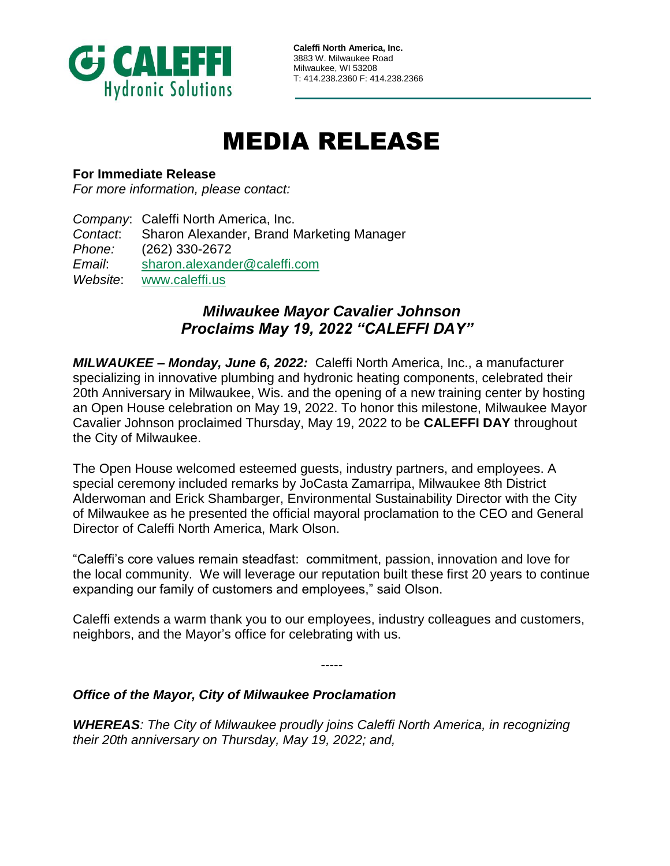

**Caleffi North America, Inc.** 3883 W. Milwaukee Road Milwaukee, WI 53208 T: 414.238.2360 F: 414.238.2366

## MEDIA RELEASE

## **For Immediate Release**

*For more information, please contact:*

*Company*: Caleffi North America, Inc. *Contact*: Sharon Alexander, Brand Marketing Manager *Phone:* (262) 330-2672 *Email*: [sharon.alexander@caleffi.com](mailto:sharon.alexander@caleffi.com) *Website*: [www.caleffi.us](http://www.caleffi.us/)

## *Milwaukee Mayor Cavalier Johnson Proclaims May 19, 2022 "CALEFFI DAY"*

*MILWAUKEE – Monday, June 6, 2022:* Caleffi North America, Inc., a manufacturer specializing in innovative plumbing and hydronic heating components, celebrated their 20th Anniversary in Milwaukee, Wis. and the opening of a new training center by hosting an Open House celebration on May 19, 2022. To honor this milestone, Milwaukee Mayor Cavalier Johnson proclaimed Thursday, May 19, 2022 to be **CALEFFI DAY** throughout the City of Milwaukee.

The Open House welcomed esteemed guests, industry partners, and employees. A special ceremony included remarks by JoCasta Zamarripa, Milwaukee 8th District Alderwoman and Erick Shambarger, Environmental Sustainability Director with the City of Milwaukee as he presented the official mayoral proclamation to the CEO and General Director of Caleffi North America, Mark Olson.

"Caleffi's core values remain steadfast: commitment, passion, innovation and love for the local community. We will leverage our reputation built these first 20 years to continue expanding our family of customers and employees," said Olson.

Caleffi extends a warm thank you to our employees, industry colleagues and customers, neighbors, and the Mayor's office for celebrating with us.

-----

## *Office of the Mayor, City of Milwaukee Proclamation*

*WHEREAS: The City of Milwaukee proudly joins Caleffi North America, in recognizing their 20th anniversary on Thursday, May 19, 2022; and,*